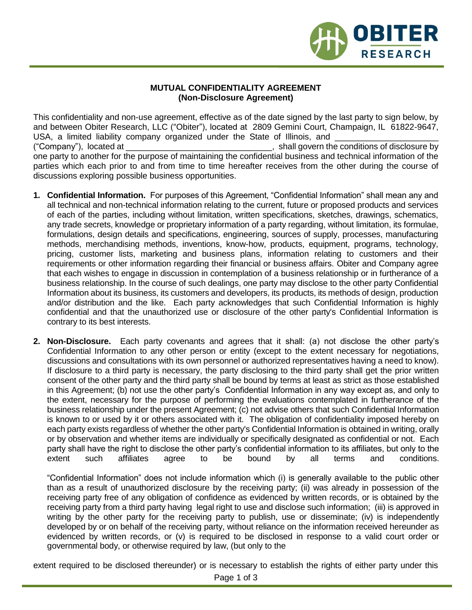

## **MUTUAL CONFIDENTIALITY AGREEMENT (Non-Disclosure Agreement)**

This confidentiality and non-use agreement, effective as of the date signed by the last party to sign below, by and between Obiter Research, LLC ("Obiter"), located at 2809 Gemini Court, Champaign, IL 61822-9647, USA, a limited liability company organized under the State of Illinois, and ("Company"), located at \_\_\_\_\_\_\_\_\_\_\_\_\_\_\_\_\_\_\_\_\_\_\_\_\_\_\_\_\_\_\_, shall govern the conditions of disclosure by one party to another for the purpose of maintaining the confidential business and technical information of the parties which each prior to and from time to time hereafter receives from the other during the course of discussions exploring possible business opportunities.

- **1. Confidential Information.** For purposes of this Agreement, "Confidential Information" shall mean any and all technical and non-technical information relating to the current, future or proposed products and services of each of the parties, including without limitation, written specifications, sketches, drawings, schematics, any trade secrets, knowledge or proprietary information of a party regarding, without limitation, its formulae, formulations, design details and specifications, engineering, sources of supply, processes, manufacturing methods, merchandising methods, inventions, know-how, products, equipment, programs, technology, pricing, customer lists, marketing and business plans, information relating to customers and their requirements or other information regarding their financial or business affairs. Obiter and Company agree that each wishes to engage in discussion in contemplation of a business relationship or in furtherance of a business relationship. In the course of such dealings, one party may disclose to the other party Confidential Information about its business, its customers and developers, its products, its methods of design, production and/or distribution and the like. Each party acknowledges that such Confidential Information is highly confidential and that the unauthorized use or disclosure of the other party's Confidential Information is contrary to its best interests.
- **2. Non-Disclosure.** Each party covenants and agrees that it shall: (a) not disclose the other party's Confidential Information to any other person or entity (except to the extent necessary for negotiations, discussions and consultations with its own personnel or authorized representatives having a need to know). If disclosure to a third party is necessary, the party disclosing to the third party shall get the prior written consent of the other party and the third party shall be bound by terms at least as strict as those established in this Agreement; (b) not use the other party's Confidential Information in any way except as, and only to the extent, necessary for the purpose of performing the evaluations contemplated in furtherance of the business relationship under the present Agreement; (c) not advise others that such Confidential Information is known to or used by it or others associated with it. The obligation of confidentiality imposed hereby on each party exists regardless of whether the other party's Confidential Information is obtained in writing, orally or by observation and whether items are individually or specifically designated as confidential or not. Each party shall have the right to disclose the other party's confidential information to its affiliates, but only to the extent such affiliates agree to be bound by all terms and conditions.

"Confidential Information" does not include information which (i) is generally available to the public other than as a result of unauthorized disclosure by the receiving party; (ii) was already in possession of the receiving party free of any obligation of confidence as evidenced by written records, or is obtained by the receiving party from a third party having legal right to use and disclose such information; (iii) is approved in writing by the other party for the receiving party to publish, use or disseminate; (iv) is independently developed by or on behalf of the receiving party, without reliance on the information received hereunder as evidenced by written records, or (v) is required to be disclosed in response to a valid court order or governmental body, or otherwise required by law, (but only to the

extent required to be disclosed thereunder) or is necessary to establish the rights of either party under this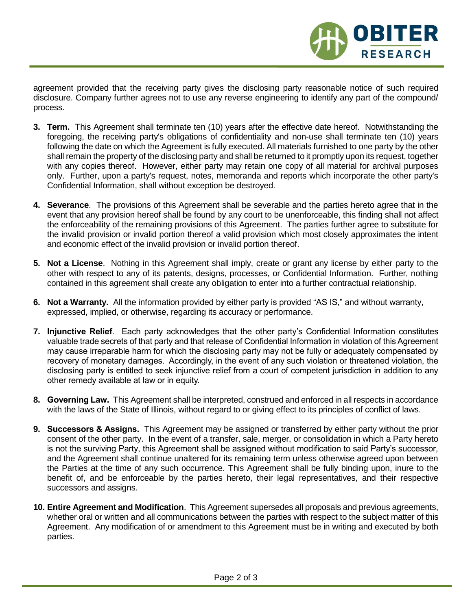agreement provided that the receiving party gives the disclosing party reasonable notice of such required disclosure. Company further agrees not to use any reverse engineering to identify any part of the compound/ process.

OBITER

**RESEARCH** 

- **3. Term.** This Agreement shall terminate ten (10) years after the effective date hereof. Notwithstanding the foregoing, the receiving party's obligations of confidentiality and non-use shall terminate ten (10) years following the date on which the Agreement is fully executed. All materials furnished to one party by the other shall remain the property of the disclosing party and shall be returned to it promptly upon its request, together with any copies thereof. However, either party may retain one copy of all material for archival purposes only. Further, upon a party's request, notes, memoranda and reports which incorporate the other party's Confidential Information, shall without exception be destroyed.
- **4. Severance**. The provisions of this Agreement shall be severable and the parties hereto agree that in the event that any provision hereof shall be found by any court to be unenforceable, this finding shall not affect the enforceability of the remaining provisions of this Agreement. The parties further agree to substitute for the invalid provision or invalid portion thereof a valid provision which most closely approximates the intent and economic effect of the invalid provision or invalid portion thereof.
- **5. Not a License**. Nothing in this Agreement shall imply, create or grant any license by either party to the other with respect to any of its patents, designs, processes, or Confidential Information. Further, nothing contained in this agreement shall create any obligation to enter into a further contractual relationship.
- **6. Not a Warranty.** All the information provided by either party is provided "AS IS," and without warranty, expressed, implied, or otherwise, regarding its accuracy or performance.
- **7. Injunctive Relief**. Each party acknowledges that the other party's Confidential Information constitutes valuable trade secrets of that party and that release of Confidential Information in violation of this Agreement may cause irreparable harm for which the disclosing party may not be fully or adequately compensated by recovery of monetary damages. Accordingly, in the event of any such violation or threatened violation, the disclosing party is entitled to seek injunctive relief from a court of competent jurisdiction in addition to any other remedy available at law or in equity.
- **8. Governing Law.** This Agreement shall be interpreted, construed and enforced in all respects in accordance with the laws of the State of Illinois, without regard to or giving effect to its principles of conflict of laws.
- **9. Successors & Assigns.** This Agreement may be assigned or transferred by either party without the prior consent of the other party. In the event of a transfer, sale, merger, or consolidation in which a Party hereto is not the surviving Party, this Agreement shall be assigned without modification to said Party's successor, and the Agreement shall continue unaltered for its remaining term unless otherwise agreed upon between the Parties at the time of any such occurrence. This Agreement shall be fully binding upon, inure to the benefit of, and be enforceable by the parties hereto, their legal representatives, and their respective successors and assigns.
- **10. Entire Agreement and Modification**. This Agreement supersedes all proposals and previous agreements, whether oral or written and all communications between the parties with respect to the subject matter of this Agreement. Any modification of or amendment to this Agreement must be in writing and executed by both parties.